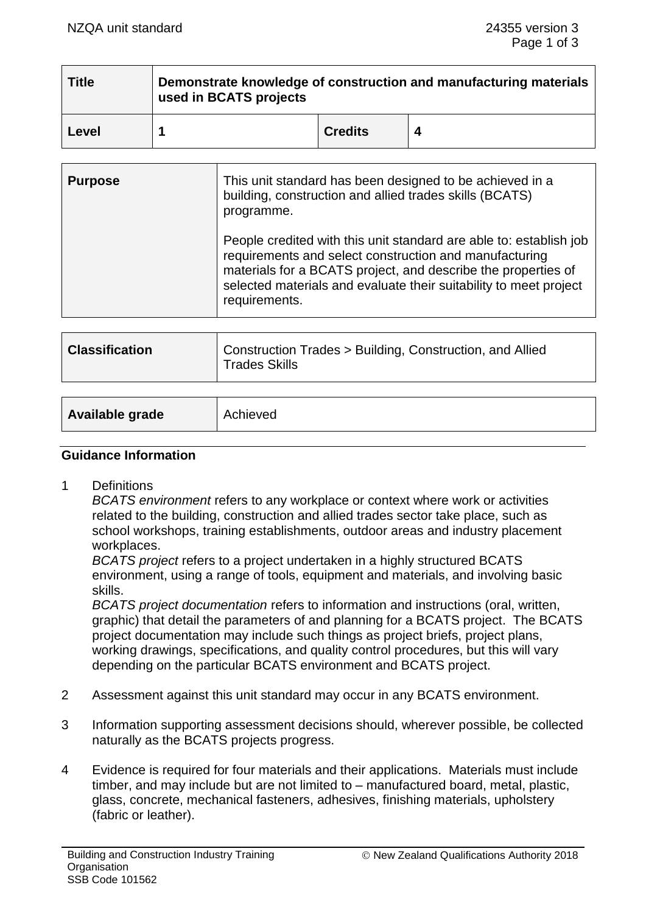| <b>Title</b> | Demonstrate knowledge of construction and manufacturing materials<br>used in BCATS projects |                |  |
|--------------|---------------------------------------------------------------------------------------------|----------------|--|
| Level        |                                                                                             | <b>Credits</b> |  |

| <b>Purpose</b> | This unit standard has been designed to be achieved in a<br>building, construction and allied trades skills (BCATS)<br>programme.                                                                                                                                                   |  |
|----------------|-------------------------------------------------------------------------------------------------------------------------------------------------------------------------------------------------------------------------------------------------------------------------------------|--|
|                | People credited with this unit standard are able to: establish job<br>requirements and select construction and manufacturing<br>materials for a BCATS project, and describe the properties of<br>selected materials and evaluate their suitability to meet project<br>requirements. |  |
|                |                                                                                                                                                                                                                                                                                     |  |

| <b>Classification</b> | Construction Trades > Building, Construction, and Allied<br><b>Trades Skills</b> |
|-----------------------|----------------------------------------------------------------------------------|
|-----------------------|----------------------------------------------------------------------------------|

| Available grade<br>Achieved |
|-----------------------------|
|-----------------------------|

## **Guidance Information**

1 Definitions

*BCATS environment* refers to any workplace or context where work or activities related to the building, construction and allied trades sector take place, such as school workshops, training establishments, outdoor areas and industry placement workplaces.

*BCATS project* refers to a project undertaken in a highly structured BCATS environment, using a range of tools, equipment and materials, and involving basic skills.

*BCATS project documentation* refers to information and instructions (oral, written, graphic) that detail the parameters of and planning for a BCATS project. The BCATS project documentation may include such things as project briefs, project plans, working drawings, specifications, and quality control procedures, but this will vary depending on the particular BCATS environment and BCATS project.

- 2 Assessment against this unit standard may occur in any BCATS environment.
- 3 Information supporting assessment decisions should, wherever possible, be collected naturally as the BCATS projects progress.
- 4 Evidence is required for four materials and their applications. Materials must include timber, and may include but are not limited to – manufactured board, metal, plastic, glass, concrete, mechanical fasteners, adhesives, finishing materials, upholstery (fabric or leather).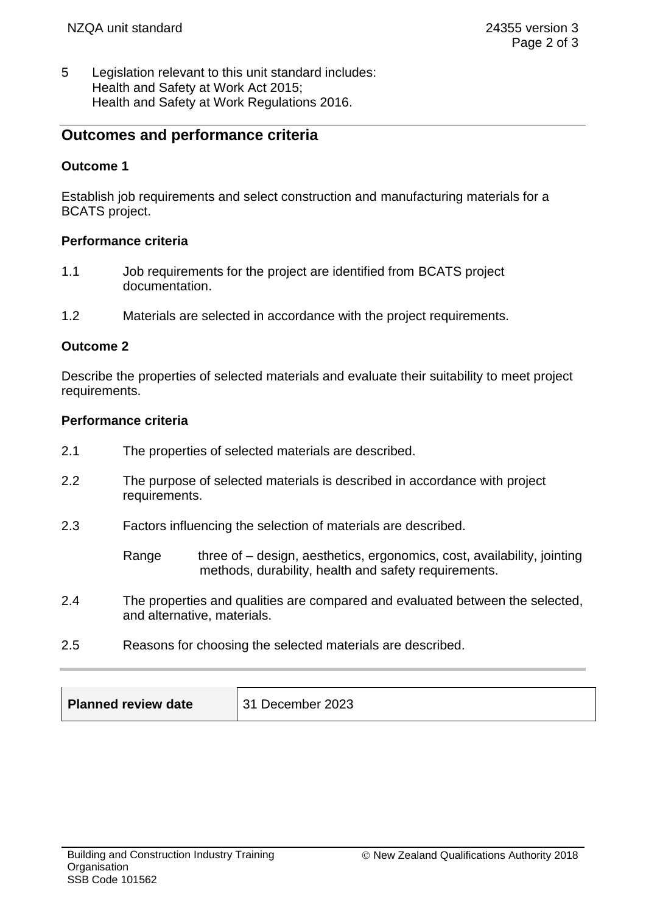5 Legislation relevant to this unit standard includes: Health and Safety at Work Act 2015; Health and Safety at Work Regulations 2016.

# **Outcomes and performance criteria**

### **Outcome 1**

Establish job requirements and select construction and manufacturing materials for a BCATS project.

#### **Performance criteria**

- 1.1 Job requirements for the project are identified from BCATS project documentation.
- 1.2 Materials are selected in accordance with the project requirements.

#### **Outcome 2**

Describe the properties of selected materials and evaluate their suitability to meet project requirements.

#### **Performance criteria**

- 2.1 The properties of selected materials are described.
- 2.2 The purpose of selected materials is described in accordance with project requirements.
- 2.3 Factors influencing the selection of materials are described.

Range three of – design, aesthetics, ergonomics, cost, availability, jointing methods, durability, health and safety requirements.

- 2.4 The properties and qualities are compared and evaluated between the selected, and alternative, materials.
- 2.5 Reasons for choosing the selected materials are described.

| Planned review date | December 2023 |
|---------------------|---------------|
|---------------------|---------------|